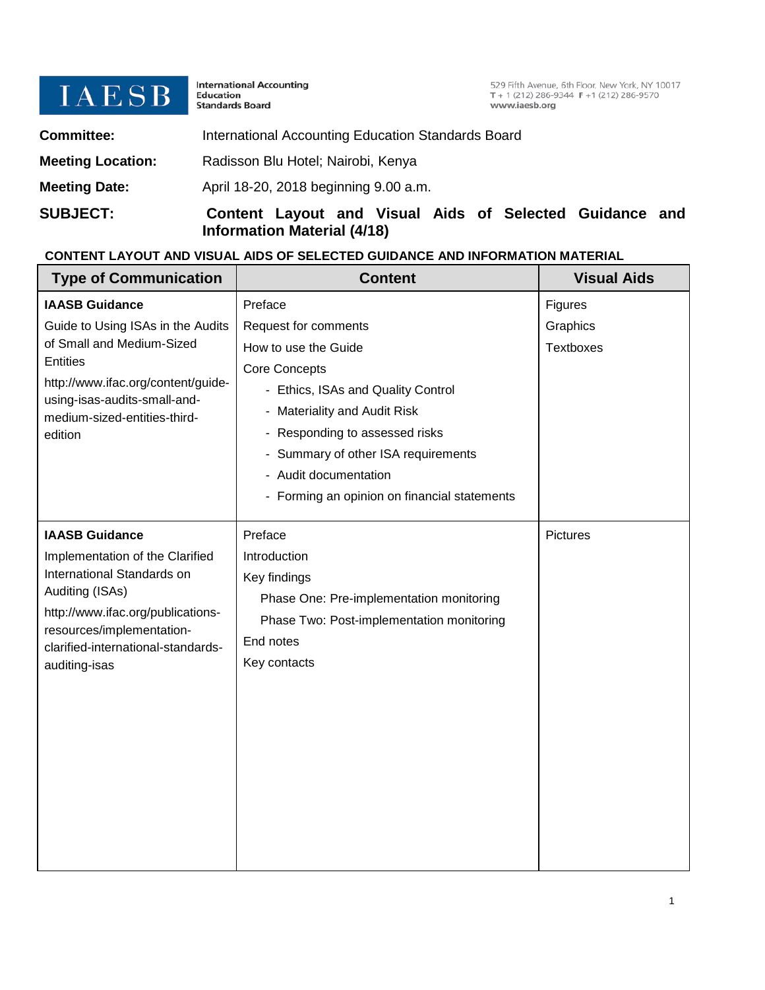

International Accounting<br>Education<br>Standards Board

529 Fifth Avenue, 6th Floor, New York, NY 10017<br>T + 1 (212) 286-9344 F + 1 (212) 286-9570 www.iaesb.org

| <b>SUBJECT:</b>          | Content Layout and Visual Aids of Selected Guidance and<br><b>Information Material (4/18)</b> |
|--------------------------|-----------------------------------------------------------------------------------------------|
| <b>Meeting Date:</b>     | April 18-20, 2018 beginning 9.00 a.m.                                                         |
| <b>Meeting Location:</b> | Radisson Blu Hotel; Nairobi, Kenya                                                            |
| <b>Committee:</b>        | International Accounting Education Standards Board                                            |

## **CONTENT LAYOUT AND VISUAL AIDS OF SELECTED GUIDANCE AND INFORMATION MATERIAL**

| <b>Type of Communication</b>                                                                                                                                                                                                       | <b>Content</b>                                                                                                                                                                                                                                                                                          | <b>Visual Aids</b>                      |
|------------------------------------------------------------------------------------------------------------------------------------------------------------------------------------------------------------------------------------|---------------------------------------------------------------------------------------------------------------------------------------------------------------------------------------------------------------------------------------------------------------------------------------------------------|-----------------------------------------|
| <b>IAASB Guidance</b><br>Guide to Using ISAs in the Audits<br>of Small and Medium-Sized<br><b>Entities</b><br>http://www.ifac.org/content/guide-<br>using-isas-audits-small-and-<br>medium-sized-entities-third-<br>edition        | Preface<br>Request for comments<br>How to use the Guide<br><b>Core Concepts</b><br>- Ethics, ISAs and Quality Control<br>- Materiality and Audit Risk<br>- Responding to assessed risks<br>- Summary of other ISA requirements<br>- Audit documentation<br>- Forming an opinion on financial statements | Figures<br>Graphics<br><b>Textboxes</b> |
| <b>IAASB Guidance</b><br>Implementation of the Clarified<br>International Standards on<br>Auditing (ISAs)<br>http://www.ifac.org/publications-<br>resources/implementation-<br>clarified-international-standards-<br>auditing-isas | Preface<br>Introduction<br>Key findings<br>Phase One: Pre-implementation monitoring<br>Phase Two: Post-implementation monitoring<br>End notes<br>Key contacts                                                                                                                                           | <b>Pictures</b>                         |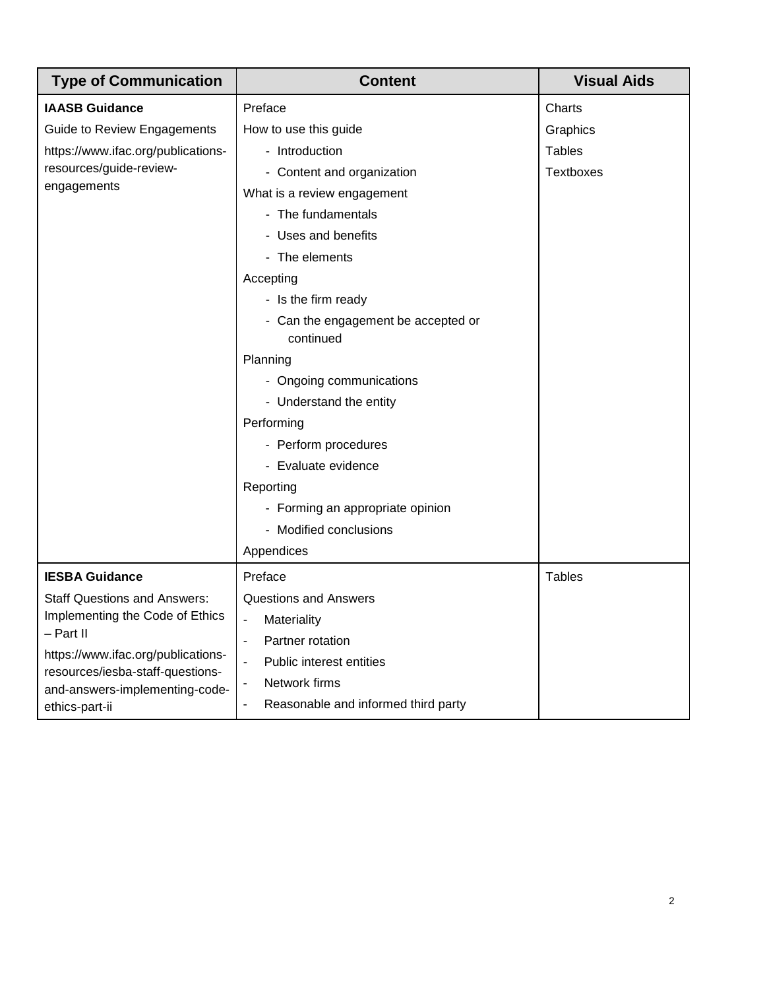| <b>Type of Communication</b>                 | <b>Content</b>                                   | <b>Visual Aids</b> |
|----------------------------------------------|--------------------------------------------------|--------------------|
| <b>IAASB Guidance</b>                        | Preface                                          | Charts             |
| Guide to Review Engagements                  | How to use this guide                            | Graphics           |
| https://www.ifac.org/publications-           | - Introduction                                   | <b>Tables</b>      |
| resources/guide-review-                      | - Content and organization                       | <b>Textboxes</b>   |
| engagements                                  | What is a review engagement                      |                    |
|                                              | - The fundamentals                               |                    |
|                                              | - Uses and benefits                              |                    |
|                                              | - The elements                                   |                    |
|                                              | Accepting                                        |                    |
|                                              | - Is the firm ready                              |                    |
|                                              | - Can the engagement be accepted or              |                    |
|                                              | continued                                        |                    |
|                                              | Planning                                         |                    |
|                                              | - Ongoing communications                         |                    |
|                                              | - Understand the entity                          |                    |
|                                              | Performing                                       |                    |
|                                              | - Perform procedures                             |                    |
|                                              | - Evaluate evidence                              |                    |
|                                              | Reporting                                        |                    |
|                                              | - Forming an appropriate opinion                 |                    |
|                                              | - Modified conclusions                           |                    |
|                                              | Appendices                                       |                    |
| <b>IESBA Guidance</b>                        | Preface                                          | <b>Tables</b>      |
| <b>Staff Questions and Answers:</b>          | Questions and Answers                            |                    |
| Implementing the Code of Ethics<br>– Part II | Materiality<br>$\overline{\phantom{a}}$          |                    |
| https://www.ifac.org/publications-           | Partner rotation<br>$\qquad \qquad \blacksquare$ |                    |
| resources/iesba-staff-questions-             | Public interest entities<br>$\blacksquare$       |                    |
| and-answers-implementing-code-               | Network firms                                    |                    |
| ethics-part-ii                               | Reasonable and informed third party<br>÷,        |                    |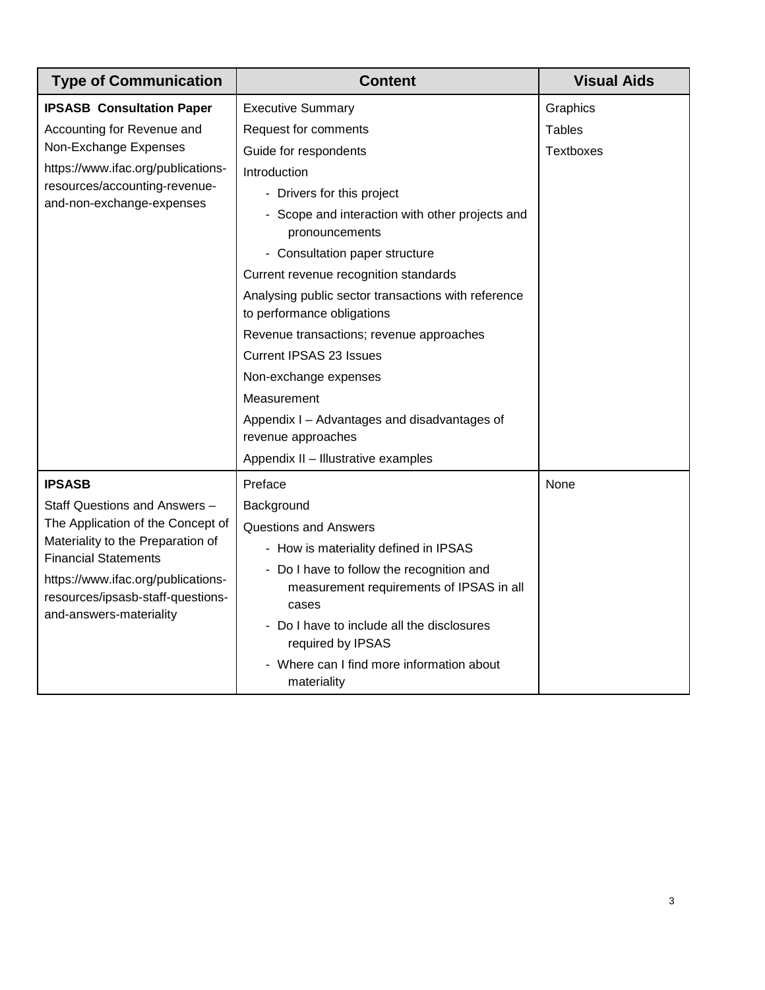| <b>Type of Communication</b>                                                                                               | <b>Content</b>                                                                                 | <b>Visual Aids</b> |
|----------------------------------------------------------------------------------------------------------------------------|------------------------------------------------------------------------------------------------|--------------------|
| <b>IPSASB Consultation Paper</b>                                                                                           | <b>Executive Summary</b>                                                                       | Graphics           |
| Accounting for Revenue and<br>Non-Exchange Expenses<br>https://www.ifac.org/publications-<br>resources/accounting-revenue- | Request for comments                                                                           | <b>Tables</b>      |
|                                                                                                                            | Guide for respondents                                                                          | <b>Textboxes</b>   |
|                                                                                                                            | Introduction                                                                                   |                    |
|                                                                                                                            | - Drivers for this project                                                                     |                    |
| and-non-exchange-expenses                                                                                                  | - Scope and interaction with other projects and<br>pronouncements                              |                    |
|                                                                                                                            | - Consultation paper structure                                                                 |                    |
|                                                                                                                            | Current revenue recognition standards                                                          |                    |
|                                                                                                                            | Analysing public sector transactions with reference<br>to performance obligations              |                    |
|                                                                                                                            | Revenue transactions; revenue approaches                                                       |                    |
|                                                                                                                            | <b>Current IPSAS 23 Issues</b>                                                                 |                    |
|                                                                                                                            | Non-exchange expenses                                                                          |                    |
|                                                                                                                            | Measurement                                                                                    |                    |
|                                                                                                                            | Appendix I - Advantages and disadvantages of<br>revenue approaches                             |                    |
|                                                                                                                            | Appendix II - Illustrative examples                                                            |                    |
| <b>IPSASB</b>                                                                                                              | Preface                                                                                        | None               |
| Staff Questions and Answers -                                                                                              | Background                                                                                     |                    |
| The Application of the Concept of                                                                                          | <b>Questions and Answers</b>                                                                   |                    |
| Materiality to the Preparation of<br><b>Financial Statements</b>                                                           | - How is materiality defined in IPSAS                                                          |                    |
| https://www.ifac.org/publications-<br>resources/ipsasb-staff-questions-<br>and-answers-materiality                         | - Do I have to follow the recognition and<br>measurement requirements of IPSAS in all<br>cases |                    |
|                                                                                                                            | - Do I have to include all the disclosures<br>required by IPSAS                                |                    |
|                                                                                                                            | - Where can I find more information about<br>materiality                                       |                    |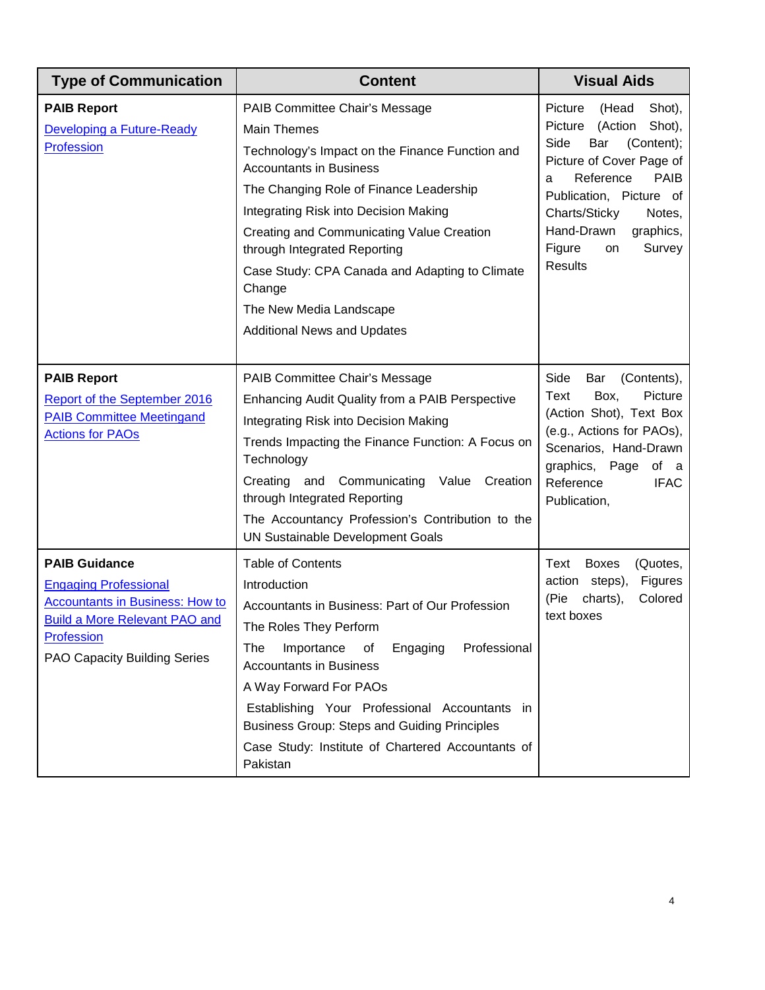| <b>Type of Communication</b>                                                                                                                                                                | <b>Content</b>                                                                                                                                                                                                                                                                                                                                                                                                                          | <b>Visual Aids</b>                                                                                                                                                                                                                                                                |
|---------------------------------------------------------------------------------------------------------------------------------------------------------------------------------------------|-----------------------------------------------------------------------------------------------------------------------------------------------------------------------------------------------------------------------------------------------------------------------------------------------------------------------------------------------------------------------------------------------------------------------------------------|-----------------------------------------------------------------------------------------------------------------------------------------------------------------------------------------------------------------------------------------------------------------------------------|
| <b>PAIB Report</b><br>Developing a Future-Ready<br><b>Profession</b>                                                                                                                        | PAIB Committee Chair's Message<br><b>Main Themes</b><br>Technology's Impact on the Finance Function and<br><b>Accountants in Business</b><br>The Changing Role of Finance Leadership<br>Integrating Risk into Decision Making<br>Creating and Communicating Value Creation<br>through Integrated Reporting<br>Case Study: CPA Canada and Adapting to Climate<br>Change<br>The New Media Landscape<br><b>Additional News and Updates</b> | Picture<br>Shot),<br>(Head<br>Shot),<br>Picture<br>(Action<br>Side<br>(Content);<br>Bar<br>Picture of Cover Page of<br>Reference<br><b>PAIB</b><br>a<br>Publication, Picture of<br>Charts/Sticky<br>Notes,<br>Hand-Drawn<br>graphics,<br>Figure<br>Survey<br>on<br><b>Results</b> |
| <b>PAIB Report</b><br>Report of the September 2016<br><b>PAIB Committee Meetingand</b><br><b>Actions for PAOs</b>                                                                           | PAIB Committee Chair's Message<br>Enhancing Audit Quality from a PAIB Perspective<br>Integrating Risk into Decision Making<br>Trends Impacting the Finance Function: A Focus on<br>Technology<br>Creating and Communicating<br>Creation<br>Value<br>through Integrated Reporting<br>The Accountancy Profession's Contribution to the<br>UN Sustainable Development Goals                                                                | Side<br>Bar<br>(Contents),<br>Text<br>Box,<br>Picture<br>(Action Shot), Text Box<br>(e.g., Actions for PAOs),<br>Scenarios, Hand-Drawn<br>graphics, Page<br>of a<br>Reference<br><b>IFAC</b><br>Publication,                                                                      |
| <b>PAIB Guidance</b><br><b>Engaging Professional</b><br><b>Accountants in Business: How to</b><br><b>Build a More Relevant PAO and</b><br><b>Profession</b><br>PAO Capacity Building Series | <b>Table of Contents</b><br>Introduction<br>Accountants in Business: Part of Our Profession<br>The Roles They Perform<br>Professional<br>The<br>Importance<br>οf<br>Engaging<br><b>Accountants in Business</b><br>A Way Forward For PAOs<br>Establishing Your Professional Accountants in<br><b>Business Group: Steps and Guiding Principles</b><br>Case Study: Institute of Chartered Accountants of<br>Pakistan                       | <b>Boxes</b><br>Text<br>(Quotes,<br>action steps),<br>Figures<br>(Pie<br>Colored<br>charts),<br>text boxes                                                                                                                                                                        |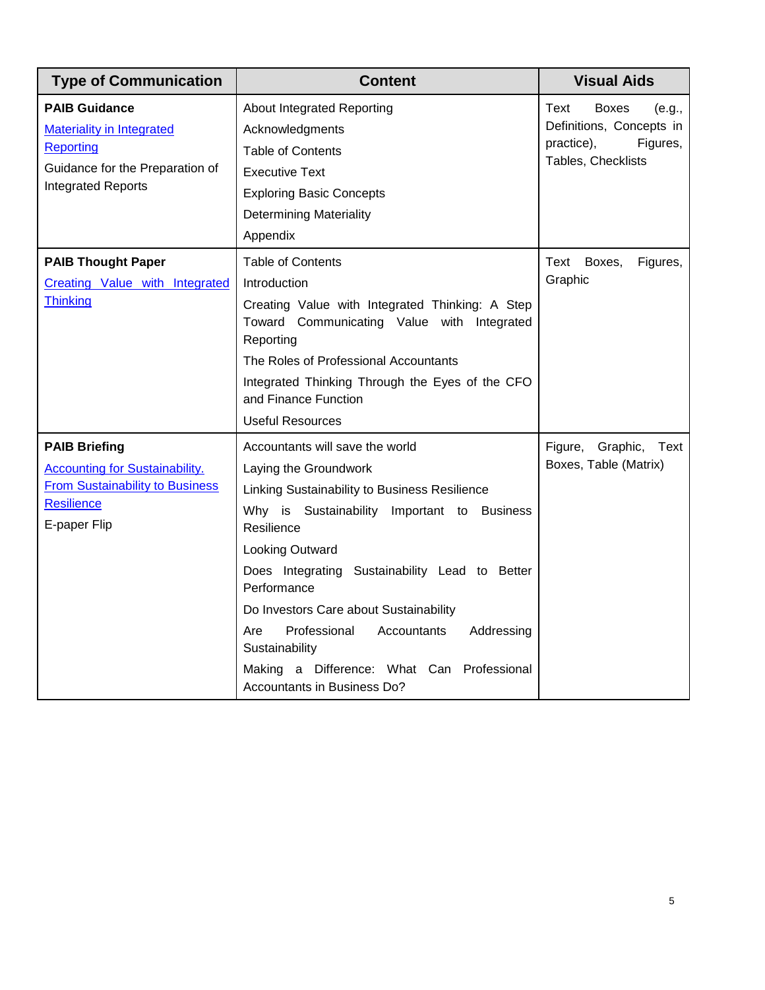| <b>Type of Communication</b>                                                                                                                 | <b>Content</b>                                                                                                                                                                                                                                                                                                                                                                                                                                             | <b>Visual Aids</b>                                                                                         |
|----------------------------------------------------------------------------------------------------------------------------------------------|------------------------------------------------------------------------------------------------------------------------------------------------------------------------------------------------------------------------------------------------------------------------------------------------------------------------------------------------------------------------------------------------------------------------------------------------------------|------------------------------------------------------------------------------------------------------------|
| <b>PAIB Guidance</b><br><b>Materiality in Integrated</b><br>Reporting<br>Guidance for the Preparation of<br><b>Integrated Reports</b>        | About Integrated Reporting<br>Acknowledgments<br><b>Table of Contents</b><br><b>Executive Text</b><br><b>Exploring Basic Concepts</b><br><b>Determining Materiality</b><br>Appendix                                                                                                                                                                                                                                                                        | Text<br><b>Boxes</b><br>(e.g.,<br>Definitions, Concepts in<br>practice),<br>Figures,<br>Tables, Checklists |
| <b>PAIB Thought Paper</b><br>Creating Value with Integrated<br>Thinking                                                                      | <b>Table of Contents</b><br>Introduction<br>Creating Value with Integrated Thinking: A Step<br>Toward Communicating Value with Integrated<br>Reporting<br>The Roles of Professional Accountants<br>Integrated Thinking Through the Eyes of the CFO<br>and Finance Function<br><b>Useful Resources</b>                                                                                                                                                      | Text<br>Boxes,<br>Figures,<br>Graphic                                                                      |
| <b>PAIB Briefing</b><br><b>Accounting for Sustainability.</b><br><b>From Sustainability to Business</b><br><b>Resilience</b><br>E-paper Flip | Accountants will save the world<br>Laying the Groundwork<br>Linking Sustainability to Business Resilience<br>Why is Sustainability Important to Business<br>Resilience<br>Looking Outward<br>Does Integrating Sustainability Lead to Better<br>Performance<br>Do Investors Care about Sustainability<br>Professional<br>Are<br>Accountants<br>Addressing<br>Sustainability<br>Making a Difference: What Can<br>Professional<br>Accountants in Business Do? | Figure, Graphic,<br>Text<br>Boxes, Table (Matrix)                                                          |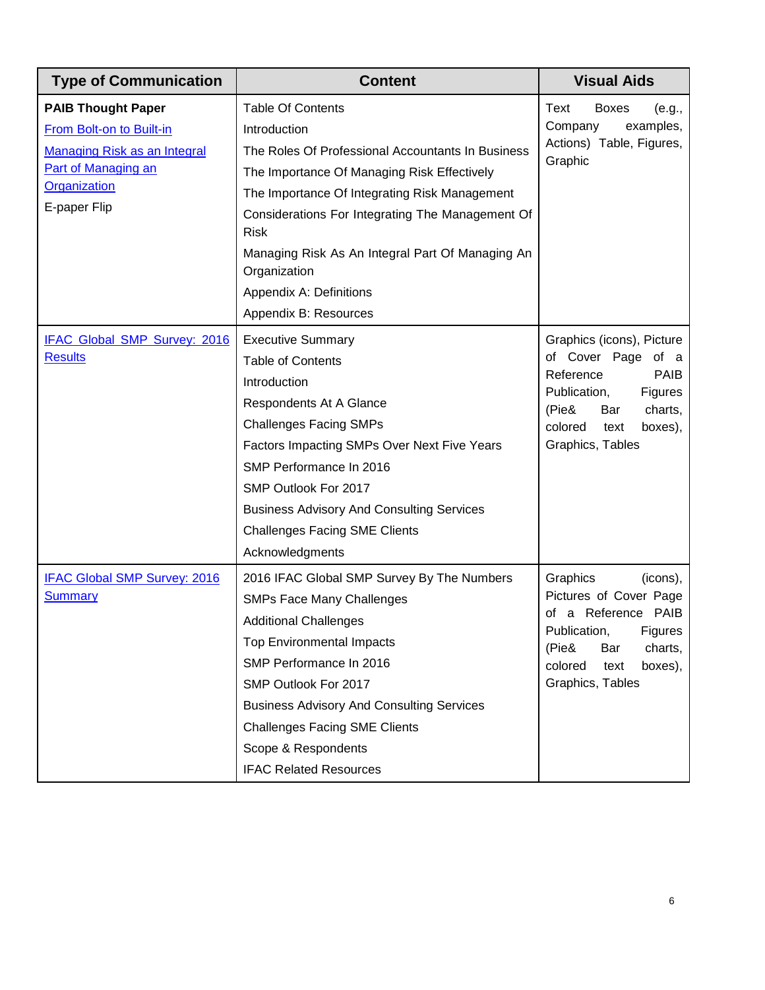| <b>Type of Communication</b>                                                                                                                 | <b>Content</b>                                                                                                                                                                                                                                                                                                                                                                           | <b>Visual Aids</b>                                                                                                                                                                  |
|----------------------------------------------------------------------------------------------------------------------------------------------|------------------------------------------------------------------------------------------------------------------------------------------------------------------------------------------------------------------------------------------------------------------------------------------------------------------------------------------------------------------------------------------|-------------------------------------------------------------------------------------------------------------------------------------------------------------------------------------|
| <b>PAIB Thought Paper</b><br>From Bolt-on to Built-in<br>Managing Risk as an Integral<br>Part of Managing an<br>Organization<br>E-paper Flip | <b>Table Of Contents</b><br>Introduction<br>The Roles Of Professional Accountants In Business<br>The Importance Of Managing Risk Effectively<br>The Importance Of Integrating Risk Management<br>Considerations For Integrating The Management Of<br><b>Risk</b><br>Managing Risk As An Integral Part Of Managing An<br>Organization<br>Appendix A: Definitions<br>Appendix B: Resources | Text<br><b>Boxes</b><br>(e.g.,<br>examples,<br>Company<br>Actions) Table, Figures,<br>Graphic                                                                                       |
| IFAC Global SMP Survey: 2016<br><b>Results</b>                                                                                               | <b>Executive Summary</b><br><b>Table of Contents</b><br>Introduction<br>Respondents At A Glance<br><b>Challenges Facing SMPs</b><br>Factors Impacting SMPs Over Next Five Years<br>SMP Performance In 2016<br>SMP Outlook For 2017<br><b>Business Advisory And Consulting Services</b><br><b>Challenges Facing SME Clients</b><br>Acknowledgments                                        | Graphics (icons), Picture<br>of Cover Page of a<br>Reference<br><b>PAIB</b><br>Publication,<br>Figures<br>(Pie&<br>Bar<br>charts,<br>colored<br>text<br>boxes),<br>Graphics, Tables |
| <b>IFAC Global SMP Survey: 2016</b><br><b>Summary</b>                                                                                        | 2016 IFAC Global SMP Survey By The Numbers<br><b>SMPs Face Many Challenges</b><br><b>Additional Challenges</b><br><b>Top Environmental Impacts</b><br>SMP Performance In 2016<br>SMP Outlook For 2017<br><b>Business Advisory And Consulting Services</b><br><b>Challenges Facing SME Clients</b><br>Scope & Respondents<br><b>IFAC Related Resources</b>                                | Graphics<br>(icons),<br>Pictures of Cover Page<br>of a Reference PAIB<br>Publication,<br>Figures<br>(Pie&<br>Bar<br>charts,<br>colored<br>text<br>boxes),<br>Graphics, Tables       |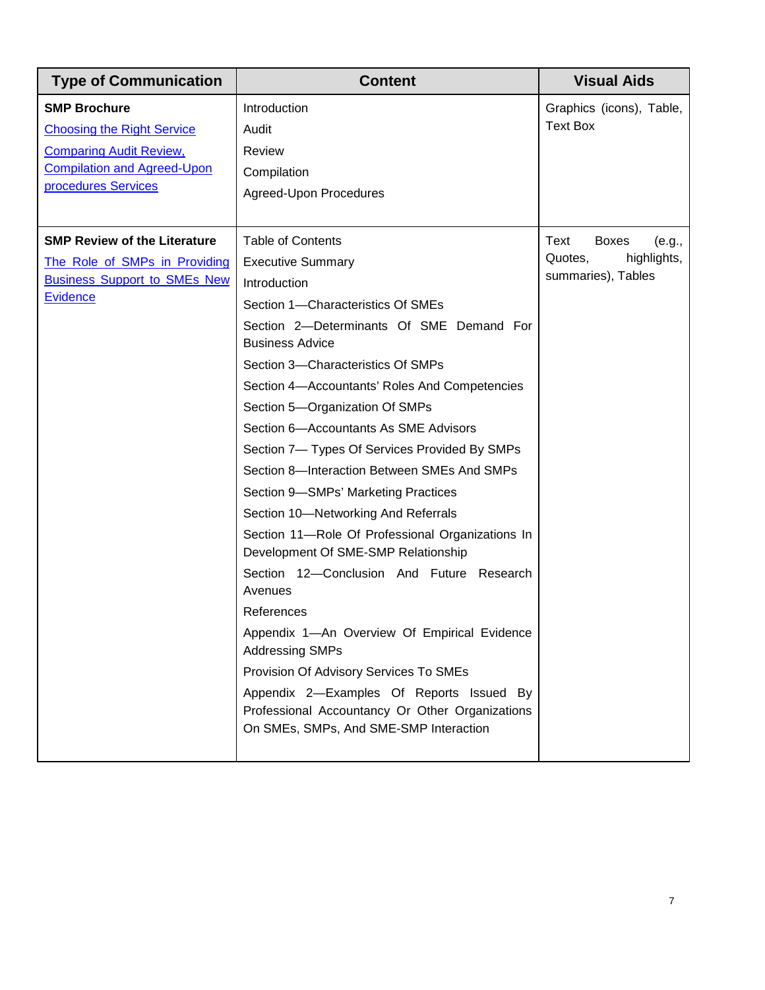| <b>Type of Communication</b>                                                                                                                            | <b>Content</b>                                                                                                                                                                                                                                                                                                                                                                                                                                                                                                                                                                                                                                                                                                                                                                                                                                                                                                                                               | <b>Visual Aids</b>                                                             |
|---------------------------------------------------------------------------------------------------------------------------------------------------------|--------------------------------------------------------------------------------------------------------------------------------------------------------------------------------------------------------------------------------------------------------------------------------------------------------------------------------------------------------------------------------------------------------------------------------------------------------------------------------------------------------------------------------------------------------------------------------------------------------------------------------------------------------------------------------------------------------------------------------------------------------------------------------------------------------------------------------------------------------------------------------------------------------------------------------------------------------------|--------------------------------------------------------------------------------|
| <b>SMP Brochure</b><br><b>Choosing the Right Service</b><br><b>Comparing Audit Review,</b><br><b>Compilation and Agreed-Upon</b><br>procedures Services | Introduction<br>Audit<br>Review<br>Compilation<br>Agreed-Upon Procedures                                                                                                                                                                                                                                                                                                                                                                                                                                                                                                                                                                                                                                                                                                                                                                                                                                                                                     | Graphics (icons), Table,<br><b>Text Box</b>                                    |
| <b>SMP Review of the Literature</b><br>The Role of SMPs in Providing<br><b>Business Support to SMEs New</b><br>Evidence                                 | <b>Table of Contents</b><br><b>Executive Summary</b><br>Introduction<br>Section 1-Characteristics Of SMEs<br>Section 2-Determinants Of SME Demand For<br><b>Business Advice</b><br>Section 3-Characteristics Of SMPs<br>Section 4-Accountants' Roles And Competencies<br>Section 5-Organization Of SMPs<br>Section 6-Accountants As SME Advisors<br>Section 7- Types Of Services Provided By SMPs<br>Section 8-Interaction Between SMEs And SMPs<br>Section 9-SMPs' Marketing Practices<br>Section 10-Networking And Referrals<br>Section 11-Role Of Professional Organizations In<br>Development Of SME-SMP Relationship<br>Section 12-Conclusion And Future Research<br>Avenues<br>References<br>Appendix 1-An Overview Of Empirical Evidence<br><b>Addressing SMPs</b><br>Provision Of Advisory Services To SMEs<br>Appendix 2-Examples Of Reports Issued By<br>Professional Accountancy Or Other Organizations<br>On SMEs, SMPs, And SME-SMP Interaction | Text<br><b>Boxes</b><br>(e.g.,<br>highlights,<br>Quotes,<br>summaries), Tables |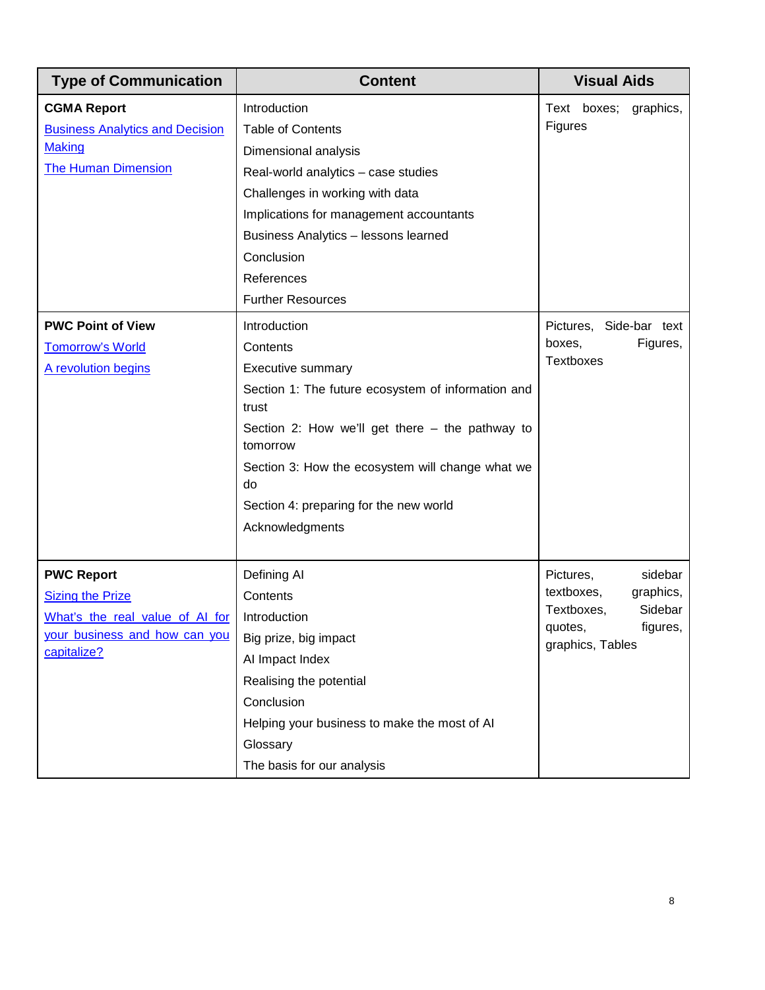| <b>Type of Communication</b>                                                                                                    | <b>Content</b>                                                                                                                                                                                                                                                                                     | <b>Visual Aids</b>                                                                                                  |
|---------------------------------------------------------------------------------------------------------------------------------|----------------------------------------------------------------------------------------------------------------------------------------------------------------------------------------------------------------------------------------------------------------------------------------------------|---------------------------------------------------------------------------------------------------------------------|
| <b>CGMA Report</b><br><b>Business Analytics and Decision</b><br><b>Making</b><br><b>The Human Dimension</b>                     | Introduction<br><b>Table of Contents</b><br>Dimensional analysis<br>Real-world analytics - case studies<br>Challenges in working with data<br>Implications for management accountants<br>Business Analytics - lessons learned<br>Conclusion<br>References<br><b>Further Resources</b>              | Text boxes; graphics,<br>Figures                                                                                    |
| <b>PWC Point of View</b><br><b>Tomorrow's World</b><br>A revolution begins                                                      | Introduction<br>Contents<br>Executive summary<br>Section 1: The future ecosystem of information and<br>trust<br>Section 2: How we'll get there - the pathway to<br>tomorrow<br>Section 3: How the ecosystem will change what we<br>do<br>Section 4: preparing for the new world<br>Acknowledgments | Pictures, Side-bar text<br>Figures,<br>boxes,<br><b>Textboxes</b>                                                   |
| <b>PWC Report</b><br><b>Sizing the Prize</b><br>What's the real value of Al for<br>your business and how can you<br>capitalize? | Defining Al<br>Contents<br>Introduction<br>Big prize, big impact<br>Al Impact Index<br>Realising the potential<br>Conclusion<br>Helping your business to make the most of AI<br>Glossary<br>The basis for our analysis                                                                             | Pictures,<br>sidebar<br>textboxes,<br>graphics,<br>Sidebar<br>Textboxes,<br>figures,<br>quotes,<br>graphics, Tables |